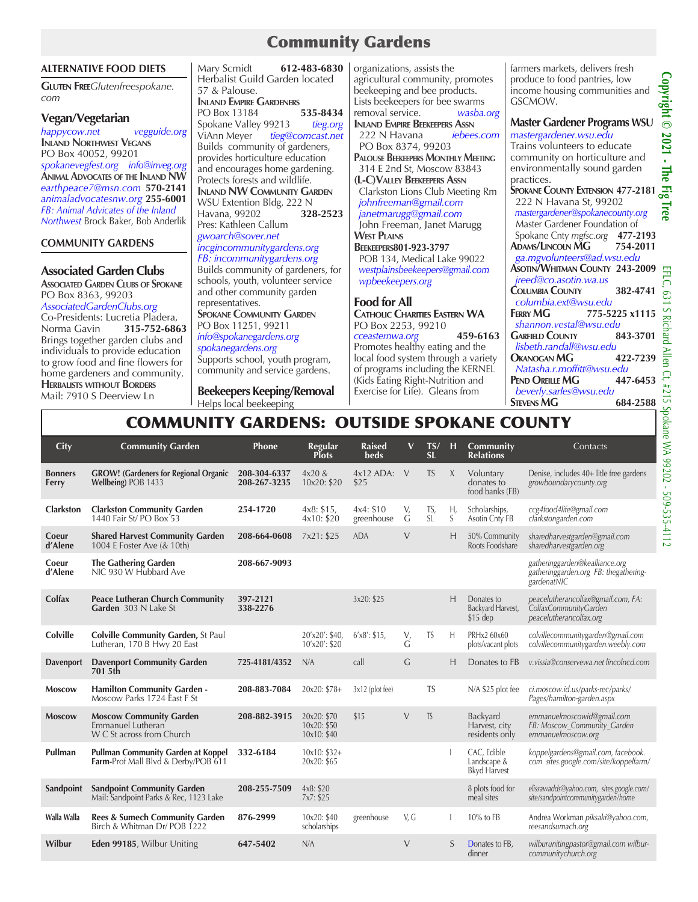# Community Gardens

#### **ALTERNATIVE FOOD DIETS**

**Gluten Free***Glutenfreespokane. com*

#### **Vegan/Vegetarian**

*happycow.net vegguide.org* **Inland Northwest Vegans** PO Box 40052, 99201 *spokanevegfest.org info@inveg.org* **Animal Advocates of the Inland NW** *earthpeace7@msn.com* **570-2141** *animaladvocatesnw.org* **255-6001** *FB: Animal Advicates of the Inland Northwest* Brock Baker, Bob Anderlik

#### **COMMUNITY GARDENS**

### **Associated Garden Clubs**

**Associated Garden Clubs of Spokane** PO Box 8363, 99203 *AssociatedGardenClubs.org*

Co-Presidents: Lucretia Pladera,<br>Norma Gavin 315-752-686 Norma Gavin **315-752-6863** Brings together garden clubs and individuals to provide education to grow food and fine flowers for home gardeners and community. **Herbalists without Borders** Mail: 7910 S Deerview Ln

Mary Scmidt **612-483-6830** Herbalist Guild Garden located 57 & Palouse. **Inland Empire Gardeners** PO Box 13184 **535-8434** Spokane Valley 99213 *tieg.org* ViAnn Meyer *tieg@comcast.net* Builds community of gardeners, provides horticulture education and encourages home gardening. Protects forests and wildlife. **Inland NW Community Garden** WSU Extention Bldg, 222 N<br>Havana, 99202 328-2523 Havana, 99202 **328-2523** Pres: Kathleen Callum *gwoarch@sover.net incgincommunitygardens.org FB: incommunitygardens.org* Builds community of gardeners, for schools, youth, volunteer service and other community garden representatives. **SPOKANE COMMUNITY GARDEN** PO Box 11251, 99211 *info@spokanegardens.org spokanegardens.org* Supports school, youth program,

community and service gardens. **Beekeepers Keeping/Removal** Helps local beekeeping

organizations, assists the agricultural community, promotes beekeeping and bee products. Lists beekeepers for bee swarms<br>removal service. wasba. removal service. *wasba.org* **Inland Empire Beekeepers Assn** 222 N Havana PO Box 8374, 99203 **Palouse Beekeepers Monthly Meeting** 314 E 2nd St, Moscow 83843 **(L-C)Valley Beekeepers Assn** Clarkston Lions Club Meeting Rm  *johnfreeman@gmail.com janetmarugg@gmail.com*  John Freeman, Janet Marugg **West Plains Beekeepers801-923-3797**  POB 134, Medical Lake 99022  *westplainsbeekeepers@gmail.com wpbeekeepers.org* **Food for All Catholic Charities Eastern WA**

PO Box 2253, 99210 *cceasternwa.org* **459-6163** Promotes healthy eating and the local food system through a variety of programs including the KERNEL (Kids Eating Right-Nutrition and Exercise for Life). Gleans from

farmers markets, delivers fresh produce to food pantries, low income housing communities and GSCMOW.

## **Master Gardener Programs WSU**

| mastergardener.wsu.edu                |          |
|---------------------------------------|----------|
| Trains volunteers to educate          |          |
| community on horticulture and         |          |
| environmentally sound garden          |          |
| practices.                            |          |
| SPOKANE COUNTY EXTENSION 477-2181     |          |
| 222 N Havana St, 99202                |          |
| mastergardener@spokanecounty.org      |          |
| Master Gardener Foundation of         |          |
| Spokane Cnty mgfsc.org 477-2193       |          |
| ADAMS/LINCOLN MG 754-2011             |          |
| ga.mgvolunteers@ad.wsu.edu            |          |
| <b>ASOTIN/WHITMAN COUNTY 243-2009</b> |          |
| jreed@co.asotin.wa.us                 |          |
| <b>COLUMBIA COUNTY</b>                | 382-4741 |
| columbia.ext@wsu.edu                  |          |
| 775-5225 x1115<br>FERRY MG            |          |
| shannon.vestal@wsu.edu                |          |
| <b>GARFIELD COUNTY</b>                | 843-3701 |
| lisbeth.randall@wsu.edu               |          |
| <b>OKANOGAN MG</b>                    | 422-7239 |
| Natasha.r.moffitt@wsu.edu             |          |
| PEND OREILLE MG                       | 447-6453 |
| beverly.sarles@wsu.edu                |          |
| <b>STEVENS MG</b>                     | 684-2588 |
|                                       |          |

# COMMUNITY GARDENS: OUTSIDE SPOKANE COUNTY

| City                    | <b>Community Garden</b>                                                                     | Phone                        | Regular<br><b>Plots</b>                   | <b>Raised</b><br><b>beds</b> | $\mathbf{V}$ | TS/<br><b>SL</b> | H       | Community<br><b>Relations</b>                     | Contacts                                                                                |
|-------------------------|---------------------------------------------------------------------------------------------|------------------------------|-------------------------------------------|------------------------------|--------------|------------------|---------|---------------------------------------------------|-----------------------------------------------------------------------------------------|
| <b>Bonners</b><br>Ferry | <b>GROW!</b> (Gardeners for Regional Organic<br>Wellbeing) POB 1433                         | 208-304-6337<br>208-267-3235 | $4x20\&$<br>10x20: \$20                   | $4x12$ ADA:<br>\$25          | $\vee$       | <b>TS</b>        | $\chi$  | Voluntary<br>donates to<br>food banks (FB)        | Denise, includes 40+ litle free gardens<br>growboundarycounty.org                       |
| <b>Clarkston</b>        | <b>Clarkston Community Garden</b><br>1440 Fair St/ PO Box 53                                | 254-1720                     | 4x8: \$15,<br>4x10: \$20                  | 4x4: \$10<br>greenhouse      | V,<br>G      | TS,<br>SI        | Η,<br>S | Scholarships,<br>Asotin Cnty FB                   | ccg4food4life@gmail.com<br>clarkstongarden.com                                          |
| Coeur<br>d'Alene        | <b>Shared Harvest Community Garden</b><br>1004 E Foster Ave (& 10th)                        | 208-664-0608                 | 7x21: \$25                                | <b>ADA</b>                   | $\vee$       |                  | H       | 50% Community<br>Roots Foodshare                  | sharedharvestgarden@gmail.com<br>sharedharvestgarden.org                                |
| Coeur<br>d'Alene        | <b>The Gathering Garden</b><br>NIC 930 W Hubbard Ave                                        | 208-667-9093                 |                                           |                              |              |                  |         |                                                   | gatheringgarden@kealliance.org<br>gatheringgarden.org FB: thegathering-<br>gardenatNIC  |
| Colfax                  | <b>Peace Lutheran Church Community</b><br>Garden 303 N Lake St                              | 397-2121<br>338-2276         |                                           | 3x20: \$25                   |              |                  | Н       | Donates to<br>Backvard Harvest,<br>$$15$ dep      | peacelutherancolfax@gmail.com, FA:<br>'ColfaxCommunityGarden<br>peacelutherancolfax.org |
| <b>Colville</b>         | <b>Colville Community Garden, St Paul</b><br>Lutheran, 170 B Hwy 20 East                    |                              | 20'x20': \$40,<br>10'x20': \$20           | $6'x8$ : \$15,               | V,<br>G      | TS               | H       | PRHx2 60x60<br>plots/vacant plots                 | colvillecommunitygarden@gmail.com<br>colvillecommunitygarden.weebly.com                 |
| <b>Davenport</b>        | <b>Davenport Community Garden</b><br>701 5th                                                | 725-4181/4352                | N/A                                       | call                         | G            |                  | H       | Donates to FB                                     | v.vissia@conservewa.net lincolncd.com                                                   |
| <b>Moscow</b>           | <b>Hamilton Community Garden -</b><br>Moscow Parks 1724 East F St                           | 208-883-7084                 | 20x20: \$78+                              | 3x12 (plot fee)              |              | <b>TS</b>        |         | N/A \$25 plot fee                                 | ci.moscow.id.us/parks-rec/parks/<br>Pages/hamilton-garden.aspx                          |
| <b>Moscow</b>           | <b>Moscow Community Garden</b><br>Emmanuel Lutheran<br>W C St across from Church            | 208-882-3915                 | 20x20: \$70<br>10x20: \$50<br>10x10: \$40 | \$15                         | $\vee$       | <b>TS</b>        |         | Backyard<br>Harvest, city<br>residents only       | emmanuelmoscowid@gmail.com<br>FB: Moscow Community Garden<br>emmanuelmoscow.org         |
| Pullman                 | <b>Pullman Community Garden at Koppel</b><br><b>Farm-Prof Mall Blvd &amp; Derby/POB 611</b> | 332-6184                     | $10x10: $32+$<br>20x20: \$65              |                              |              |                  |         | CAC. Edible<br>Landscape &<br><b>Bkyd Harvest</b> | koppelgardens@gmail.com, facebook.<br>com sites.google.com/site/koppelfarm/             |
| Sandpoint               | <b>Sandpoint Community Garden</b><br>Mail: Sandpoint Parks & Rec, 1123 Lake                 | 208-255-7509                 | 4x8: \$20<br>7x7: \$25                    |                              |              |                  |         | 8 plots food for<br>meal sites                    | elissawadds@yahoo.com, sites.google.com/<br>site/sandpointcommunitygarden/home          |
| Walla Walla             | <b>Rees &amp; Sumech Community Garden</b><br>Birch & Whitman Dr/ POB 1222                   | 876-2999                     | 10x20: \$40<br>scholarships               | greenhouse                   | V, G         |                  |         | 10% to FB                                         | Andrea Workman piksaki@yahoo.com,<br>reesandsumach.org                                  |
| Wilbur                  | Eden 99185, Wilbur Uniting                                                                  | 647-5402                     | N/A                                       |                              | $\vee$       |                  | S       | Donates to FB,<br>dinner                          | wilburunitingpastor@gmail.com wilbur-<br>communitychurch.org                            |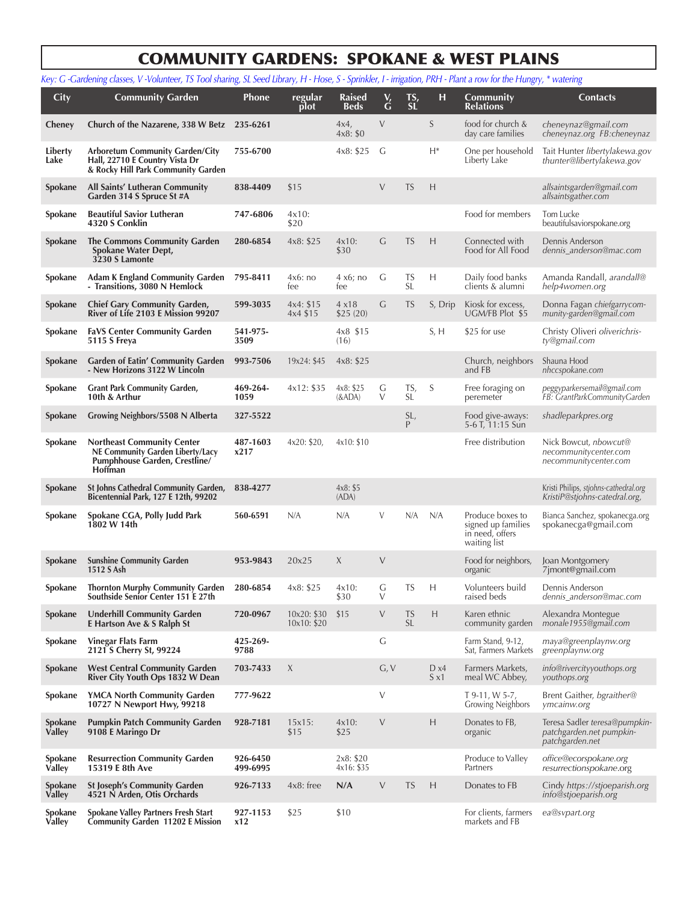# COMMUNITY GARDENS: SPOKANE & WEST PLAINS

|                          | Key: G -Gardening classes, V -Volunteer, TS Tool sharing, SL Seed Library, H - Hose, S - Sprinkler, I - irrigation, PRH - Plant a row for the Hungry, * watering |                      |                            |                              |             |                        |                      |                                                                           |                                                                                |
|--------------------------|------------------------------------------------------------------------------------------------------------------------------------------------------------------|----------------------|----------------------------|------------------------------|-------------|------------------------|----------------------|---------------------------------------------------------------------------|--------------------------------------------------------------------------------|
| City                     | <b>Community Garden</b>                                                                                                                                          | <b>Phone</b>         | regular<br>plot            | <b>Raised</b><br><b>Beds</b> | $\check{G}$ | $T_{\rm SL}^{\rm S}$   | н                    | <b>Community</b><br><b>Relations</b>                                      | <b>Contacts</b>                                                                |
| Cheney                   | Church of the Nazarene, 338 W Betz 235-6261                                                                                                                      |                      |                            | 4x4,<br>4x8: \$0             | $\vee$      |                        | S                    | food for church &<br>day care families                                    | cheneynaz@gmail.com<br>cheneynaz.org FB:cheneynaz                              |
| Liberty<br>Lake          | <b>Arboretum Community Garden/City</b><br>Hall, 22710 E Country Vista Dr<br>& Rocky Hill Park Community Garden                                                   | 755-6700             |                            | 4x8: \$25                    | G           |                        | $H^*$                | One per household<br>Liberty Lake                                         | Tait Hunter libertylakewa.gov<br>thunter@libertylakewa.gov                     |
| <b>Spokane</b>           | All Saints' Lutheran Community<br>Garden 314 S Spruce St #A                                                                                                      | 838-4409             | \$15                       |                              | V           | <b>TS</b>              | H                    |                                                                           | allsaintsgarden@gmail.com<br>allsaintsgather.com                               |
| Spokane                  | <b>Beautiful Savior Lutheran</b><br>4320 S Conklin                                                                                                               | 747-6806             | $4x10$ :<br>\$20           |                              |             |                        |                      | Food for members                                                          | Tom Lucke<br>beautifulsaviorspokane.org                                        |
| Spokane                  | The Commons Community Garden<br>Spokane Water Dept,<br>3230 S Lamonte                                                                                            | 280-6854             | 4x8: \$25                  | $4x10$ :<br>\$30             | G           | <b>TS</b>              | H                    | Connected with<br>Food for All Food                                       | Dennis Anderson<br>dennis_anderson@mac.com                                     |
| Spokane                  | <b>Adam K England Community Garden</b><br>- Transitions, 3080 N Hemlock                                                                                          | 795-8411             | 4x6:no<br>fee              | 4 x6; no<br>fee              | G           | TS<br><b>SL</b>        | Н                    | Daily food banks<br>clients & alumni                                      | Amanda Randall, arandall@<br>help4women.org                                    |
| Spokane                  | <b>Chief Gary Community Garden,</b><br>River of Life 2103 E Mission 99207                                                                                        | 599-3035             | 4x4: \$15<br>4x4 \$15      | 4x18<br>\$25(20)             | G           | <b>TS</b>              | S, Drip              | Kiosk for excess,<br>UGM/FB Plot \$5                                      | Donna Fagan chiefgarrycom-<br>munity-garden@gmail.com                          |
| Spokane                  | <b>FaVS Center Community Garden</b><br>5115 S Freya                                                                                                              | 541-975-<br>3509     |                            | 4x8 \$15<br>(16)             |             |                        | S, H                 | \$25 for use                                                              | Christy Oliveri oliverichris-<br>ty@gmail.com                                  |
| Spokane                  | <b>Garden of Eatin' Community Garden</b><br>- New Horizons 3122 W Lincoln                                                                                        | 993-7506             | 19x24: \$45                | 4x8: \$25                    |             |                        |                      | Church, neighbors<br>and FB                                               | Shauna Hood<br>nhccspokane.com                                                 |
| Spokane                  | <b>Grant Park Community Garden,</b><br>10th & Arthur                                                                                                             | 469-264-<br>1059     | 4x12: \$35                 | 4x8: \$25<br>$(\&ADA)$       | G<br>$\vee$ | TS,<br>SL              | S                    | Free foraging on<br>peremeter                                             | peggyparkersemail@gmail.com<br>FB: GrantParkCommunityGarden                    |
| Spokane                  | Growing Neighbors/5508 N Alberta                                                                                                                                 | 327-5522             |                            |                              |             | SL,<br>P               |                      | Food give-aways:<br>5-6 T, 11:15 Sun                                      | shadleparkpres.org                                                             |
| Spokane                  | <b>Northeast Community Center</b><br>NE Community Garden Liberty/Lacy<br>Pumphhouse Garden, Crestline/<br><b>Hoffman</b>                                         | 487-1603<br>x217     | 4x20: \$20,                | 4x10: \$10                   |             |                        |                      | Free distribution                                                         | Nick Bowcut, <i>nbowcut@</i><br>necommunitycenter.com<br>necommunitycenter.com |
| Spokane                  | St Johns Cathedral Community Garden,<br>Bicentennial Park, 127 E 12th, 99202                                                                                     | 838-4277             |                            | 4x8: \$5<br>(ADA)            |             |                        |                      |                                                                           | Kristi Philips, stjohns-cathedral.org<br>KristiP@stjohns-catedral.org,         |
| Spokane                  | Spokane CGA, Polly Judd Park<br>1802 W 14th                                                                                                                      | 560-6591             | N/A                        | N/A                          | V           | N/A                    | N/A                  | Produce boxes to<br>signed up families<br>in need, offers<br>waiting list | Bianca Sanchez, spokanecga.org<br>spokanecga@gmail.com                         |
| Spokane                  | <b>Sunshine Community Garden</b><br>1512 S Ash                                                                                                                   | 953-9843             | 20x25                      | X                            | $\vee$      |                        |                      | Food for neighbors,<br>organic                                            | Joan Montgomery<br>7jmont@gmail.com                                            |
| Spokane                  | <b>Thornton Murphy Community Garden</b><br>Southside Senior Center 151 E 27th                                                                                    | 280-6854             | 4x8: \$25                  | $4x10$ :<br>\$30             | G<br>V      | TS                     | Н                    | Volunteers build<br>raised beds                                           | Dennis Anderson<br>dennis_anderson@mac.com                                     |
| Spokane                  | <b>Underhill Community Garden</b><br><b>E</b> Hartson Ave & S Ralph St                                                                                           | 720-0967             | 10x20: \$30<br>10x10: \$20 | \$15                         | $\vee$      | <b>TS</b><br><b>SL</b> | H                    | Karen ethnic<br>community garden                                          | Alexandra Montegue<br>monale1955@gmail.com                                     |
| Spokane                  | <b>Vinegar Flats Farm</b><br>2121 S Cherry St, 99224                                                                                                             | 425-269-<br>9788     |                            |                              | G           |                        |                      | Farm Stand, 9-12,<br>Sat, Farmers Markets                                 | maya@greenplaynw.org<br>greenplaynw.org                                        |
| Spokane                  | <b>West Central Community Garden</b><br>River City Youth Ops 1832 W Dean                                                                                         | 703-7433             | X                          |                              | G, V        |                        | D x4<br>$S \times 1$ | Farmers Markets,<br>meal WC Abbey,                                        | info@rivercityyouthops.org<br>youthops.org                                     |
| Spokane                  | <b>YMCA North Community Garden</b><br>10727 N Newport Hwy, 99218                                                                                                 | 777-9622             |                            |                              | $\vee$      |                        |                      | T 9-11, W 5-7,<br><b>Growing Neighbors</b>                                | Brent Gaither, bgraither@<br>ymcainw.org                                       |
| Spokane<br><b>Valley</b> | <b>Pumpkin Patch Community Garden</b><br>9108 E Maringo Dr                                                                                                       | 928-7181             | 15x15:<br>\$15             | $4x10$ :<br>\$25             | $\vee$      |                        | H                    | Donates to FB,<br>organic                                                 | Teresa Sadler teresa@pumpkin-<br>patchgarden.net pumpkin-<br>patchgarden.net   |
| Spokane<br>Valley        | <b>Resurrection Community Garden</b><br>15319 E 8th Ave                                                                                                          | 926-6450<br>499-6995 |                            | 2x8: \$20<br>4x16: \$35      |             |                        |                      | Produce to Valley<br>Partners                                             | office@ecorspokane.org<br>resurrectionspokane.org                              |
| Spokane<br><b>Valley</b> | <b>St Joseph's Community Garden</b><br>4521 N Arden, Otis Orchards                                                                                               | 926-7133             | $4x8:$ free                | N/A                          | V           | <b>TS</b>              | H                    | Donates to FB                                                             | Cindy https://stjoeparish.org<br>info@stjoeparish.org                          |
| Spokane<br>Valley        | <b>Spokane Valley Partners Fresh Start</b><br>Community Garden 11202 E Mission                                                                                   | 927-1153<br>x12      | \$25                       | \$10                         |             |                        |                      | For clients, farmers<br>markets and FB                                    | ea@svpart.org                                                                  |